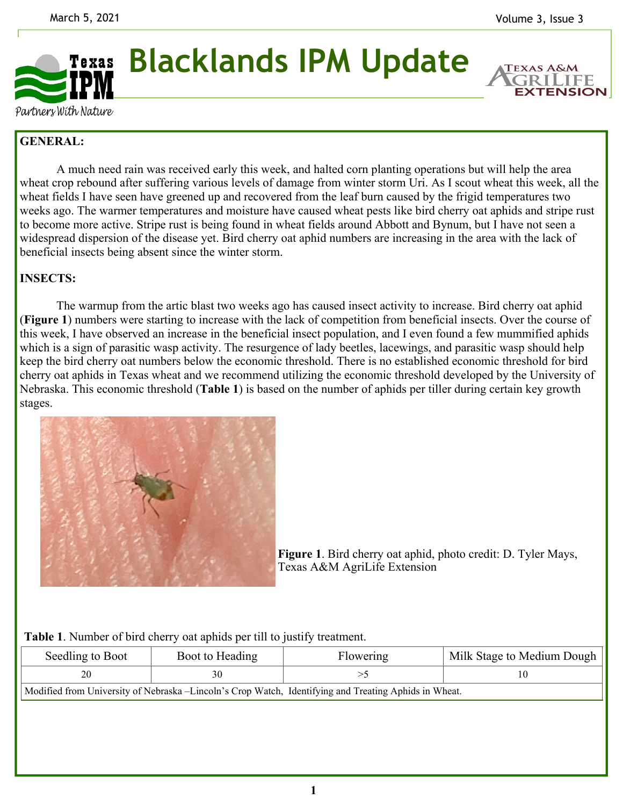

**Blacklands IPM Update** 

**EXTENSION** 

Partners With Nature

# **GENERAL:**

A much need rain was received early this week, and halted corn planting operations but will help the area wheat crop rebound after suffering various levels of damage from winter storm Uri. As I scout wheat this week, all the wheat fields I have seen have greened up and recovered from the leaf burn caused by the frigid temperatures two weeks ago. The warmer temperatures and moisture have caused wheat pests like bird cherry oat aphids and stripe rust to become more active. Stripe rust is being found in wheat fields around Abbott and Bynum, but I have not seen a widespread dispersion of the disease yet. Bird cherry oat aphid numbers are increasing in the area with the lack of beneficial insects being absent since the winter storm.

## **INSECTS:**

 The warmup from the artic blast two weeks ago has caused insect activity to increase. Bird cherry oat aphid (**Figure 1**) numbers were starting to increase with the lack of competition from beneficial insects. Over the course of this week, I have observed an increase in the beneficial insect population, and I even found a few mummified aphids which is a sign of parasitic wasp activity. The resurgence of lady beetles, lacewings, and parasitic wasp should help keep the bird cherry oat numbers below the economic threshold. There is no established economic threshold for bird cherry oat aphids in Texas wheat and we recommend utilizing the economic threshold developed by the University of Nebraska. This economic threshold (**Table 1**) is based on the number of aphids per tiller during certain key growth stages.



**Figure 1**. Bird cherry oat aphid, photo credit: D. Tyler Mays, Texas A&M AgriLife Extension

| Table 1. Number of bird cherry oat aphids per till to justify treatment. |  |  |  |
|--------------------------------------------------------------------------|--|--|--|
|--------------------------------------------------------------------------|--|--|--|

| Seedling to Boot                                                                                       | Boot to Heading | Flowering | Milk Stage to Medium Dough |  |
|--------------------------------------------------------------------------------------------------------|-----------------|-----------|----------------------------|--|
| 20                                                                                                     |                 |           | 10                         |  |
| Modified from University of Nebraska – Lincoln's Crop Watch, Identifying and Treating Aphids in Wheat. |                 |           |                            |  |
|                                                                                                        |                 |           |                            |  |
|                                                                                                        |                 |           |                            |  |
|                                                                                                        |                 |           |                            |  |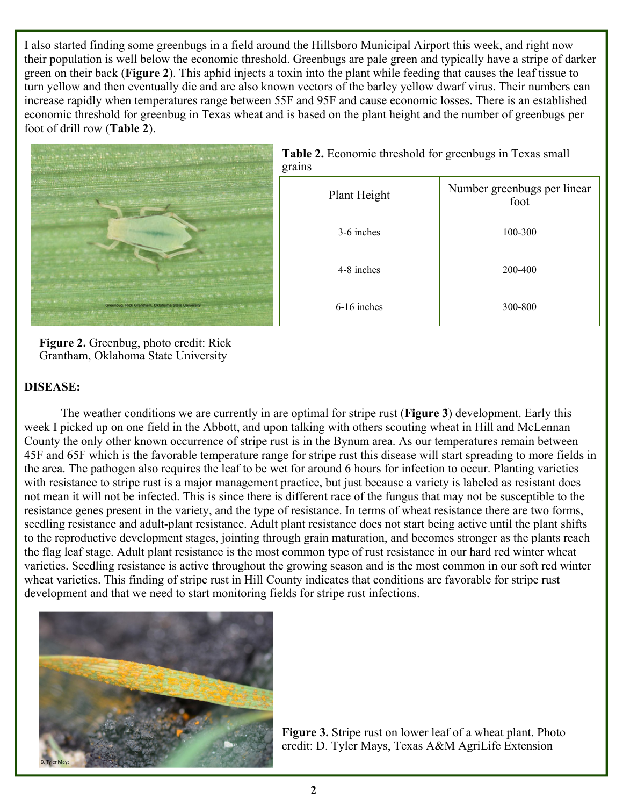I also started finding some greenbugs in a field around the Hillsboro Municipal Airport this week, and right now their population is well below the economic threshold. Greenbugs are pale green and typically have a stripe of darker green on their back (**Figure 2**). This aphid injects a toxin into the plant while feeding that causes the leaf tissue to turn yellow and then eventually die and are also known vectors of the barley yellow dwarf virus. Their numbers can increase rapidly when temperatures range between 55F and 95F and cause economic losses. There is an established economic threshold for greenbug in Texas wheat and is based on the plant height and the number of greenbugs per foot of drill row (**Table 2**).



| grains        |                                     |
|---------------|-------------------------------------|
| Plant Height  | Number greenbugs per linear<br>foot |
| 3-6 inches    | 100-300                             |
| 4-8 inches    | 200-400                             |
| $6-16$ inches | 300-800                             |

**Figure 2.** Greenbug, photo credit: Rick Grantham, Oklahoma State University

### **DISEASE:**

The weather conditions we are currently in are optimal for stripe rust (**Figure 3**) development. Early this week I picked up on one field in the Abbott, and upon talking with others scouting wheat in Hill and McLennan County the only other known occurrence of stripe rust is in the Bynum area. As our temperatures remain between 45F and 65F which is the favorable temperature range for stripe rust this disease will start spreading to more fields in the area. The pathogen also requires the leaf to be wet for around 6 hours for infection to occur. Planting varieties with resistance to stripe rust is a major management practice, but just because a variety is labeled as resistant does not mean it will not be infected. This is since there is different race of the fungus that may not be susceptible to the resistance genes present in the variety, and the type of resistance. In terms of wheat resistance there are two forms, seedling resistance and adult-plant resistance. Adult plant resistance does not start being active until the plant shifts to the reproductive development stages, jointing through grain maturation, and becomes stronger as the plants reach the flag leaf stage. Adult plant resistance is the most common type of rust resistance in our hard red winter wheat varieties. Seedling resistance is active throughout the growing season and is the most common in our soft red winter wheat varieties. This finding of stripe rust in Hill County indicates that conditions are favorable for stripe rust development and that we need to start monitoring fields for stripe rust infections.



**Figure 3.** Stripe rust on lower leaf of a wheat plant. Photo credit: D. Tyler Mays, Texas A&M AgriLife Extension